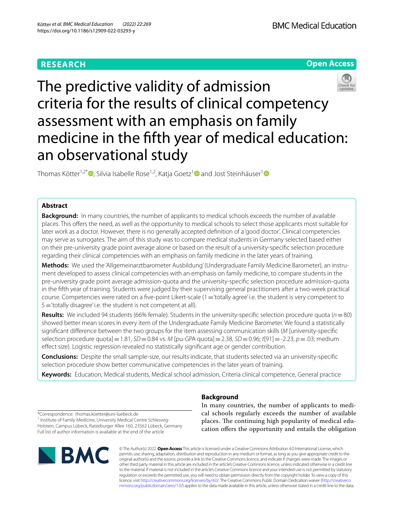# **RESEARCH**





The predictive validity of admission criteria for the results of clinical competency assessment with an emphasis on family medicine in the ffth year of medical education: an observational study

Thomas Kötter<sup>1,2[\\*](http://orcid.org/0000-0002-2266-0531)</sup><sup>®</sup>, Silvia Isabelle Rose<sup>[1](http://orcid.org/0000-0002-9386-6078),2</sup>, Katja Goetz<sup>1</sup><sup>®</sup> and Jost Steinhäuser<sup>1</sup>

## **Abstract**

**Background:** In many countries, the number of applicants to medical schools exceeds the number of available places. This ofers the need, as well as the opportunity to medical schools to select those applicants most suitable for later work as a doctor. However, there is no generally accepted defnition of a 'good doctor'. Clinical competencies may serve as surrogates. The aim of this study was to compare medical students in Germany selected based either on their pre-university grade point average alone or based on the result of a university-specifc selection procedure regarding their clinical competencies with an emphasis on family medicine in the later years of training.

**Methods:** We used the 'Allgemeinarztbarometer Ausbildung' (Undergraduate Family Medicine Barometer), an instrument developed to assess clinical competencies with an emphasis on family medicine, to compare students in the pre-university grade point average admission-quota and the university-specifc selection procedure admission-quota in the ffth year of training. Students were judged by their supervising general practitioners after a two-week practical course. Competencies were rated on a five-point Likert-scale (1='totally agree' i.e. the student is very competent to 5='totally disagree' i.e. the student is not competent at all).

**Results:** We included 94 students (66% female). Students in the university-specifc selection procedure quota (*n*=80) showed better mean scores in every item of the Undergraduate Family Medicine Barometer. We found a statistically signifcant diference between the two groups for the item assessing communication skills (*M* [university-specifc selection procedure quota]=1.81, *SD*=0.84 vs. *M* [pu-GPA quota]=2.38, *SD*=0.96; *t*[91]=-2.23, *p*=.03; medium efect size). Logistic regression revealed no statistically signifcant age or gender contribution.

**Conclusions:** Despite the small sample-size, our results indicate, that students selected via an university-specifc selection procedure show better communicative competencies in the later years of training.

**Keywords:** Education, Medical students, Medical school admission, Criteria clinical competence, General practice

**Background**

In many countries, the number of applicants to medical schools regularly exceeds the number of available places. The continuing high popularity of medical education ofers the opportunity and entails the obligation

\*Correspondence: thomas.koetter@uni-luebeck.de <sup>1</sup> Institute of Family Medicine, University Medical Centre Schleswig-

Holstein, Campus Lübeck, Ratzeburger Allee 160, 23562 Lübeck, Germany Full list of author information is available at the end of the article



© The Author(s) 2022. **Open Access** This article is licensed under a Creative Commons Attribution 4.0 International License, which permits use, sharing, adaptation, distribution and reproduction in any medium or format, as long as you give appropriate credit to the original author(s) and the source, provide a link to the Creative Commons licence, and indicate if changes were made. The images or other third party material in this article are included in the article's Creative Commons licence, unless indicated otherwise in a credit line to the material. If material is not included in the article's Creative Commons licence and your intended use is not permitted by statutory regulation or exceeds the permitted use, you will need to obtain permission directly from the copyright holder. To view a copy of this licence, visit [http://creativecommons.org/licenses/by/4.0/.](http://creativecommons.org/licenses/by/4.0/) The Creative Commons Public Domain Dedication waiver ([http://creativeco](http://creativecommons.org/publicdomain/zero/1.0/) [mmons.org/publicdomain/zero/1.0/](http://creativecommons.org/publicdomain/zero/1.0/)) applies to the data made available in this article, unless otherwise stated in a credit line to the data.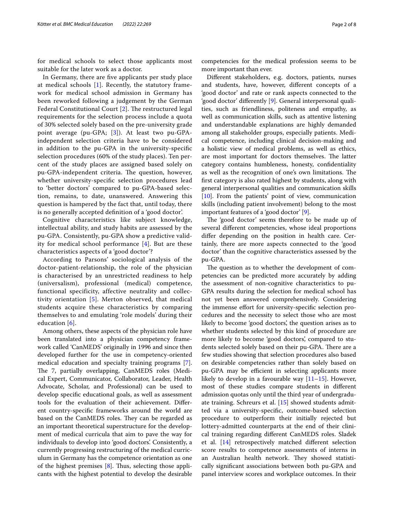for medical schools to select those applicants most suitable for the later work as a doctor.

In Germany, there are fve applicants per study place at medical schools [\[1](#page-6-0)]. Recently, the statutory framework for medical school admission in Germany has been reworked following a judgement by the German Federal Constitutional Court  $[2]$ . The restructured legal requirements for the selection process include a quota of 30% selected solely based on the pre-university grade point average (pu-GPA; [[3\]](#page-6-2)). At least two pu-GPAindependent selection criteria have to be considered in addition to the pu-GPA in the university-specifc selection procedures (60% of the study places). Ten percent of the study places are assigned based solely on pu-GPA-independent criteria. The question, however, whether university-specifc selection procedures lead to 'better doctors' compared to pu-GPA-based selection, remains, to date, unanswered. Answering this question is hampered by the fact that, until today, there is no generally accepted defnition of a 'good doctor'.

Cognitive characteristics like subject knowledge, intellectual ability, and study habits are assessed by the pu-GPA. Consistently, pu-GPA show a predictive validity for medical school performance [[4\]](#page-6-3). But are these characteristics aspects of a 'good doctor'?

According to Parsons' sociological analysis of the doctor-patient-relationship, the role of the physician is characterised by an unrestricted readiness to help (universalism), professional (medical) competence, functional specificity, affective neutrality and collectivity orientation [\[5\]](#page-6-4). Merton observed, that medical students acquire these characteristics by comparing themselves to and emulating 'role models' during their education [[6\]](#page-6-5).

Among others, these aspects of the physician role have been translated into a physician competency framework called 'CanMEDS' originally in 1996 and since then developed further for the use in competency-oriented medical education and specialty training programs [\[7](#page-6-6)]. The 7, partially overlapping, CanMEDS roles (Medical Expert, Communicator, Collaborator, Leader, Health Advocate, Scholar, and Professional) can be used to develop specifc educational goals, as well as assessment tools for the evaluation of their achievement. Diferent country-specifc frameworks around the world are based on the CanMEDS roles. They can be regarded as an important theoretical superstructure for the development of medical curricula that aim to pave the way for individuals to develop into 'good doctors'. Consistently, a currently progressing restructuring of the medical curriculum in Germany has the competence orientation as one of the highest premises  $[8]$  $[8]$ . Thus, selecting those applicants with the highest potential to develop the desirable

competencies for the medical profession seems to be more important than ever.

Diferent stakeholders, e.g. doctors, patients, nurses and students, have, however, diferent concepts of a 'good doctor' and rate or rank aspects connected to the 'good doctor' diferently [\[9](#page-6-8)]. General interpersonal qualities, such as friendliness, politeness and empathy, as well as communication skills, such as attentive listening and understandable explanations are highly demanded among all stakeholder groups, especially patients. Medical competence, including clinical decision-making and a holistic view of medical problems, as well as ethics, are most important for doctors themselves. The latter category contains humbleness, honesty, confdentiality as well as the recognition of one's own limitations. The frst category is also rated highest by students, along with general interpersonal qualities and communication skills [[10\]](#page-6-9). From the patients' point of view, communication skills (including patient involvement) belong to the most important features of a 'good doctor' [[9](#page-6-8)].

The 'good doctor' seems therefore to be made up of several diferent competencies, whose ideal proportions difer depending on the position in health care. Certainly, there are more aspects connected to the 'good doctor' than the cognitive characteristics assessed by the pu-GPA.

The question as to whether the development of competencies can be predicted more accurately by adding the assessment of non-cognitive characteristics to pu-GPA results during the selection for medical school has not yet been answered comprehensively. Considering the immense efort for university-specifc selection procedures and the necessity to select those who are most likely to become 'good doctors', the question arises as to whether students selected by this kind of procedure are more likely to become 'good doctors', compared to students selected solely based on their pu-GPA. There are a few studies showing that selection procedures also based on desirable competencies rather than solely based on pu-GPA may be efficient in selecting applicants more likely to develop in a favourable way [\[11](#page-6-10)[–15](#page-6-11)]. However, most of these studies compare students in diferent admission quotas only until the third year of undergraduate training. Schreurs et al. [\[15](#page-6-11)] showed students admitted via a university-specifc, outcome-based selection procedure to outperform their initially rejected but lottery-admitted counterparts at the end of their clinical training regarding diferent CanMEDS roles. Sladek et al. [\[14\]](#page-6-12) retrospectively matched diferent selection score results to competence assessments of interns in an Australian health network. They showed statistically signifcant associations between both pu-GPA and panel interview scores and workplace outcomes. In their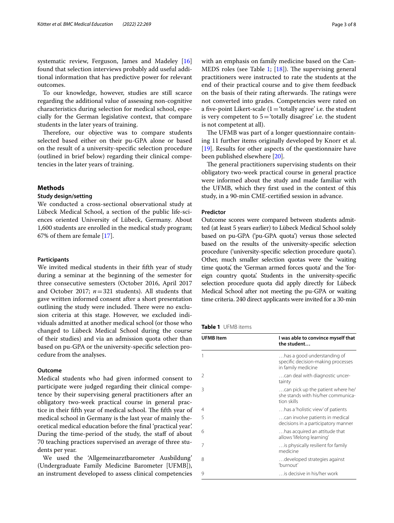systematic review, Ferguson, James and Madeley [[16](#page-6-13)] found that selection interviews probably add useful additional information that has predictive power for relevant outcomes.

To our knowledge, however, studies are still scarce regarding the additional value of assessing non-cognitive characteristics during selection for medical school, especially for the German legislative context, that compare students in the later years of training.

Therefore, our objective was to compare students selected based either on their pu-GPA alone or based on the result of a university-specifc selection procedure (outlined in brief below) regarding their clinical competencies in the later years of training.

### **Methods**

### **Study design/setting**

We conducted a cross-sectional observational study at Lübeck Medical School, a section of the public life-sciences oriented University of Lübeck, Germany. About 1,600 students are enrolled in the medical study program; 67% of them are female [\[17\]](#page-6-14).

### **Participants**

We invited medical students in their ffth year of study during a seminar at the beginning of the semester for three consecutive semesters (October 2016, April 2017 and October 2017; *n*=321 students). All students that gave written informed consent after a short presentation outlining the study were included. There were no exclusion criteria at this stage. However, we excluded individuals admitted at another medical school (or those who changed to Lübeck Medical School during the course of their studies) and via an admission quota other than based on pu-GPA or the university-specifc selection procedure from the analyses.

### **Outcome**

Medical students who had given informed consent to participate were judged regarding their clinical competence by their supervising general practitioners after an obligatory two-week practical course in general practice in their fifth year of medical school. The fifth year of medical school in Germany is the last year of mainly theoretical medical education before the fnal 'practical year'. During the time-period of the study, the staf of about 70 teaching practices supervised an average of three students per year.

We used the 'Allgemeinarztbarometer Ausbildung' (Undergraduate Family Medicine Barometer [UFMB]), an instrument developed to assess clinical competencies with an emphasis on family medicine based on the Can-MEDS roles (see Table [1;](#page-2-0)  $[18]$  $[18]$ ). The supervising general practitioners were instructed to rate the students at the end of their practical course and to give them feedback on the basis of their rating afterwards. The ratings were not converted into grades. Competencies were rated on a five-point Likert-scale  $(1=$  'totally agree' i.e. the student is very competent to  $5=$  'totally disagree' i.e. the student is not competent at all).

The UFMB was part of a longer questionnaire containing 11 further items originally developed by Knorr et al. [[19\]](#page-6-16). Results for other aspects of the questionnaire have been published elsewhere [\[20\]](#page-6-17).

The general practitioners supervising students on their obligatory two-week practical course in general practice were informed about the study and made familiar with the UFMB, which they frst used in the context of this study, in a 90-min CME-certifed session in advance.

#### <span id="page-2-1"></span>**Predictor**

Outcome scores were compared between students admitted (at least 5 years earlier) to Lübeck Medical School solely based on pu-GPA ('pu-GPA quota') versus those selected based on the results of the university-specifc selection procedure ('university-specifc selection procedure quota'). Other, much smaller selection quotas were the 'waiting time quota', the 'German armed forces quota' and the 'foreign country quota'. Students in the university-specifc selection procedure quota did apply directly for Lübeck Medical School after not meeting the pu-GPA or waiting time criteria. 240 direct applicants were invited for a 30-min

<span id="page-2-0"></span>

| <b>UFMB</b> Item | I was able to convince myself that<br>the student                                       |
|------------------|-----------------------------------------------------------------------------------------|
|                  | has a good understanding of<br>specific decision-making processes<br>in family medicine |
| 2                | can deal with diagnostic uncer-<br>tainty                                               |
| 3                | can pick up the patient where he/<br>she stands with his/her communica-<br>tion skills  |
| 4                | has a 'holistic view' of patients                                                       |
| 5                | can involve patients in medical<br>decisions in a participatory manner                  |
| 6                | has acquired an attitude that<br>allows 'lifelong learning'                             |
| 7                | is physically resilient for family<br>medicine                                          |
| 8                | developed strategies against<br>'burnout'                                               |
| 9                | is decisive in his/her work                                                             |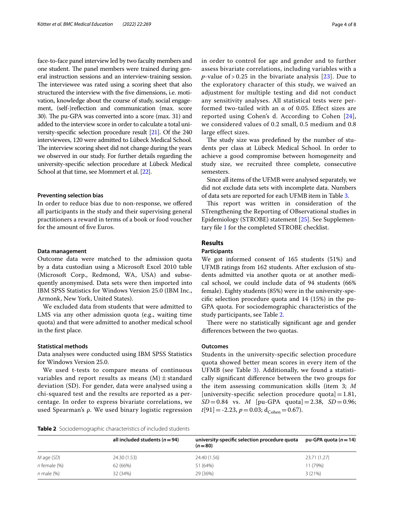face-to-face panel interview led by two faculty members and one student. The panel members were trained during general instruction sessions and an interview-training session. The interviewee was rated using a scoring sheet that also structured the interview with the fve dimensions, i.e. motivation, knowledge about the course of study, social engagement, (self-)reflection and communication (max. score 30). The pu-GPA was converted into a score (max. 31) and added to the interview score in order to calculate a total university-specifc selection procedure result [[21](#page-6-18)]. Of the 240 interviewees, 120 were admitted to Lübeck Medical School. The interview scoring sheet did not change during the years we observed in our study. For further details regarding the university-specifc selection procedure at Lübeck Medical School at that time, see Mommert et al. [\[22](#page-6-19)].

### **Preventing selection bias**

In order to reduce bias due to non-response, we ofered all participants in the study and their supervising general practitioners a reward in terms of a book or food voucher for the amount of fve Euros.

### **Data management**

Outcome data were matched to the admission quota by a data custodian using a Microsoft Excel 2010 table (Microsoft Corp., Redmond, WA, USA) and subsequently anonymised. Data sets were then imported into IBM SPSS Statistics for Windows Version 25.0 (IBM Inc., Armonk, New York, United States).

We excluded data from students that were admitted to LMS via any other admission quota (e.g., waiting time quota) and that were admitted to another medical school in the frst place.

#### **Statistical methods**

Data analyses were conducted using IBM SPSS Statistics for Windows Version 25.0.

We used t-tests to compare means of continuous variables and report results as means  $(M) \pm$  standard deviation (SD). For gender, data were analysed using a chi-squared test and the results are reported as a percentage. In order to express bivariate correlations, we used Spearman's ρ. We used binary logistic regression in order to control for age and gender and to further assess bivariate correlations, including variables with a *p*-value of > 0.25 in the bivariate analysis  $[23]$  $[23]$  $[23]$ . Due to the exploratory character of this study, we waived an adjustment for multiple testing and did not conduct any sensitivity analyses. All statistical tests were performed two-tailed with an  $\alpha$  of 0.05. Effect sizes are reported using Cohen's d. According to Cohen [[24\]](#page-6-21), we considered values of 0.2 small, 0.5 medium and 0.8 large effect sizes.

The study size was predefined by the number of students per class at Lübeck Medical School. In order to achieve a good compromise between homogeneity and study size, we recruited three complete, consecutive semesters.

Since all items of the UFMB were analysed separately, we did not exclude data sets with incomplete data. Numbers of data sets are reported for each UFMB item in Table [3.](#page-4-0)

This report was written in consideration of the STrengthening the Reporting of OBservational studies in Epidemiology (STROBE) statement [[25\]](#page-6-22). See Supplementary fle [1](#page-5-0) for the completed STROBE checklist.

### **Results**

### **Participants**

We got informed consent of 165 students (51%) and UFMB ratings from 162 students. After exclusion of students admitted via another quota or at another medical school, we could include data of 94 students (66% female). Eighty students (85%) were in the university-specifc selection procedure quota and 14 (15%) in the pu-GPA quota. For sociodemographic characteristics of the study participants, see Table [2](#page-3-0).

There were no statistically significant age and gender diferences between the two quotas.

#### **Outcomes**

Students in the university-specifc selection procedure quota showed better mean scores in every item of the UFMB (see Table [3](#page-4-0)). Additionally, we found a statistically signifcant diference between the two groups for the item assessing communication skills (item 3; *M* [university-specific selection procedure quota] =  $1.81$ ,  $SD = 0.84$  vs. *M* [pu-GPA quota] = 2.38, *SD* = 0.96;  $t[91] = -2.23$ ,  $p = 0.03$ ; d<sub>Cohen</sub> = 0.67).

<span id="page-3-0"></span>**Table 2** Sociodemographic characteristics of included students

|                   | all included students ( $n = 94$ ) | university-specific selection procedure quota<br>$(n=80)$ | pu-GPA quota $(n=14)$ |
|-------------------|------------------------------------|-----------------------------------------------------------|-----------------------|
| $M$ age $(SD)$    | 24.30 (1.53)                       | 24.40 (1.56)                                              | 23.71 (1.27)          |
| $n$ female $(\%)$ | 62 (66%)                           | 51 (64%)                                                  | 11 (79%)              |
| $n$ male $(\%)$   | 32 (34%)                           | 29 (36%)                                                  | 3(21%)                |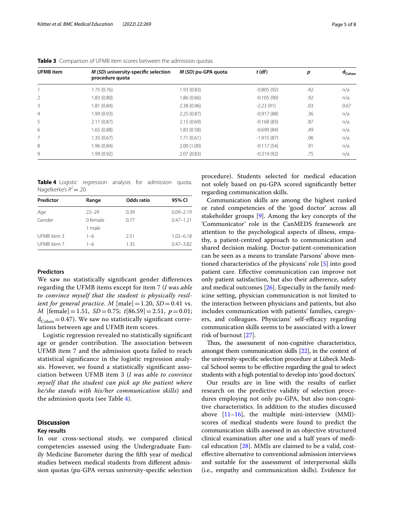| <b>UFMB</b> item | M (SD) university-specific selection<br>procedure quota | M (SD) pu-GPA quota | $t$ (df)     | p   | $d_{Cohen}$ |
|------------------|---------------------------------------------------------|---------------------|--------------|-----|-------------|
|                  | 1.75(0.76)                                              | 1.93(0.83)          | $-0.805(92)$ | .42 | n/a         |
| 2                | 1.83 (0.80)                                             | 1.86(0.66)          | $-0.105(90)$ | .92 | n/a         |
| 3                | 1.81(0.84)                                              | 2.38(0.96)          | $-2.23(91)$  | .03 | 0.67        |
| $\overline{4}$   | 1.99(0.93)                                              | 2.25(0.87)          | $-0.917(88)$ | .36 | n/a         |
| 5                | 2.11(0.87)                                              | 2.15(0.69)          | $-0.168(83)$ | .87 | n/a         |
| 6                | 1.65(0.88)                                              | 1.83(0.58)          | $-0.699(84)$ | .49 | n/a         |
| 7                | 1.35 (0.67)                                             | 1.71(0.61)          | $-1.915(87)$ | .06 | n/a         |
| 8                | 1.96(0.84)                                              | 2.00(1.00)          | $-0.117(54)$ | .91 | n/a         |
| 9                | 1.99 (0.92)                                             | 2.07(0.83)          | $-0.319(92)$ | .75 | n/a         |

<span id="page-4-0"></span>**Table 3** Comparison of UFMB item scores between the admission quotas

<span id="page-4-1"></span>**Table 4** Logistic regression analysis for admission quota. Nagelkerke's  $R^2 = 0.20$ 

| Predictor   | Range              | Odds ratio | 95% CI        |
|-------------|--------------------|------------|---------------|
| Age         | $22 - 29$          | 0.39       | $0.09 - 2.19$ |
| Gender      | 0 female<br>1 male | 0.77       | $0.47 - 1.21$ |
| UFMB item 3 | $1 - 6$            | 2.51       | $1.02 - 6.18$ |
| UFMB item 7 | $1 - 6$            | 1.35       | $0.47 - 3.82$ |

### **Predictors**

We saw no statistically signifcant gender diferences regarding the UFMB items except for item 7 (*I was able to convince myself that the student is physically resilient for general practice. M*  $[male]=1.20, SD=0.41$  vs. *M* [female]=1.51, *SD*=0.75; *t*[86.59]=2.51, *p*=0.01;  $d_{Cohen} = 0.47$ ). We saw no statistically significant correlations between age and UFMB item scores.

Logistic regression revealed no statistically signifcant age or gender contribution. The association between UFMB item 7 and the admission quota failed to reach statistical signifcance in the logistic regression analysis. However, we found a statistically signifcant association between UFMB item 3 (*I was able to convince myself that the student can pick up the patient where he/she stands with his/her communication skills*) and the admission quota (see Table [4\)](#page-4-1).

### **Discussion**

#### **Key results**

In our cross-sectional study, we compared clinical competencies assessed using the Undergraduate Family Medicine Barometer during the ffth year of medical studies between medical students from diferent admission quotas (pu-GPA versus university-specifc selection procedure). Students selected for medical education not solely based on pu-GPA scored signifcantly better regarding communication skills.

Communication skills are among the highest ranked or rated competencies of the 'good doctor' across all stakeholder groups [[9\]](#page-6-8). Among the key concepts of the 'Communicator' role in the CanMEDS framework are attention to the psychological aspects of illness, empathy, a patient-centred approach to communication and shared decision making. Doctor-patient-communication can be seen as a means to translate Parsons' above mentioned characteristics of the physicans' role [\[5](#page-6-4)] into good patient care. Efective communication can improve not only patient satisfaction, but also their adherence, safety and medical outcomes [\[26](#page-7-0)]. Especially in the family medicine setting, physician communication is not limited to the interaction between physicians and patients, but also includes communication with patients' families, caregivers, and colleagues. Physicians' self-efficacy regarding communication skills seems to be associated with a lower risk of burnout [[27](#page-7-1)].

Thus, the assessment of non-cognitive characteristics, amongst them communication skills [\[22\]](#page-6-19), in the context of the university-specifc selection procedure at Lübeck Medical School seems to be efective regarding the goal to select students with a high potential to develop into 'good doctors'.

Our results are in line with the results of earlier research on the predictive validity of selection procedures employing not only pu-GPA, but also non-cognitive characteristics. In addition to the studies discussed above [[11–](#page-6-10)[16\]](#page-6-13), the multiple mini-interview (MMI) scores of medical students were found to predict the communication skills assessed in an objective structured clinical examination after one and a half years of medical education [[28\]](#page-7-2). MMIs are claimed to be a valid, costefective alternative to conventional admission interviews and suitable for the assessment of interpersonal skills (i.e., empathy and communication skills). Evidence for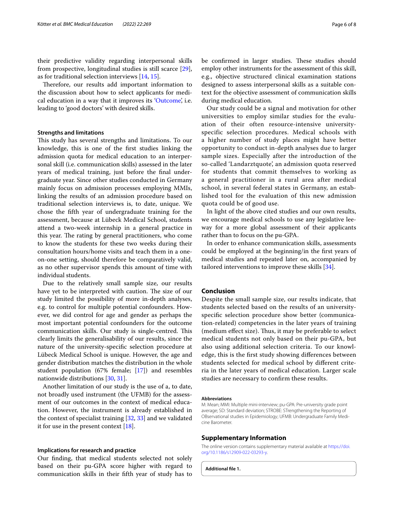their predictive validity regarding interpersonal skills from prospective, longitudinal studies is still scarce [\[29](#page-7-3)], as for traditional selection interviews [\[14](#page-6-12), [15](#page-6-11)].

Therefore, our results add important information to the discussion about how to select applicants for medical education in a way that it improves its ['Outcome',](#page-2-1) i.e. leading to 'good doctors' with desired skills.

### **Strengths and limitations**

This study has several strengths and limitations. To our knowledge, this is one of the frst studies linking the admission quota for medical education to an interpersonal skill (i.e. communication skills) assessed in the later years of medical training, just before the fnal undergraduate year. Since other studies conducted in Germany mainly focus on admission processes employing MMIs, linking the results of an admission procedure based on traditional selection interviews is, to date, unique. We chose the ffth year of undergraduate training for the assessment, because at Lübeck Medical School, students attend a two-week internship in a general practice in this year. The rating by general practitioners, who come to know the students for these two weeks during their consultation hours/home visits and teach them in a oneon-one setting, should therefore be comparatively valid, as no other supervisor spends this amount of time with individual students.

Due to the relatively small sample size, our results have yet to be interpreted with caution. The size of our study limited the possibility of more in-depth analyses, e.g. to control for multiple potential confounders. However, we did control for age and gender as perhaps the most important potential confounders for the outcome communication skills. Our study is single-centred. This clearly limits the generalisability of our results, since the nature of the university-specifc selection procedure at Lübeck Medical School is unique. However, the age and gender distribution matches the distribution in the whole student population (67% female; [[17\]](#page-6-14)) and resembles nationwide distributions [\[30](#page-7-4), [31\]](#page-7-5).

Another limitation of our study is the use of a, to date, not broadly used instrument (the UFMB) for the assessment of our outcomes in the context of medical education. However, the instrument is already established in the context of specialist training [[32,](#page-7-6) [33\]](#page-7-7) and we validated it for use in the present context  $[18]$  $[18]$ .

#### **Implications for research and practice**

Our fnding, that medical students selected not solely based on their pu-GPA score higher with regard to communication skills in their ffth year of study has to be confirmed in larger studies. These studies should employ other instruments for the assessment of this skill, e.g., objective structured clinical examination stations designed to assess interpersonal skills as a suitable context for the objective assessment of communication skills during medical education.

Our study could be a signal and motivation for other universities to employ similar studies for the evaluation of their often resource-intensive universityspecific selection procedures. Medical schools with a higher number of study places might have better opportunity to conduct in-depth analyses due to larger sample sizes. Especially after the introduction of the so-called 'Landarztquote', an admission quota reserved for students that commit themselves to working as a general practitioner in a rural area after medical school, in several federal states in Germany, an established tool for the evaluation of this new admission quota could be of good use.

In light of the above cited studies and our own results, we encourage medical schools to use any legislative leeway for a more global assessment of their applicants rather than to focus on the pu-GPA.

In order to enhance communication skills, assessments could be employed at the beginning/in the frst years of medical studies and repeated later on, accompanied by tailored interventions to improve these skills [[34\]](#page-7-8).

### **Conclusion**

Despite the small sample size, our results indicate, that students selected based on the results of an universityspecifc selection procedure show better (communication-related) competencies in the later years of training (medium effect size). Thus, it may be preferable to select medical students not only based on their pu-GPA, but also using additional selection criteria. To our knowledge, this is the frst study showing diferences between students selected for medical school by diferent criteria in the later years of medical education. Larger scale studies are necessary to confrm these results.

#### **Abbreviations**

M: Mean; MMI: Multiple mini-interview; pu-GPA: Pre-university grade point average; SD: Standard deviation; STROBE: STrengthening the Reporting of OBservational studies in Epidemiology; UFMB: Undergraduate Family Medicine Barometer.

#### **Supplementary Information**

The online version contains supplementary material available at [https://doi.](https://doi.org/10.1186/s12909-022-03293-y) [org/10.1186/s12909-022-03293-y.](https://doi.org/10.1186/s12909-022-03293-y)

<span id="page-5-0"></span>**Additional fle 1.**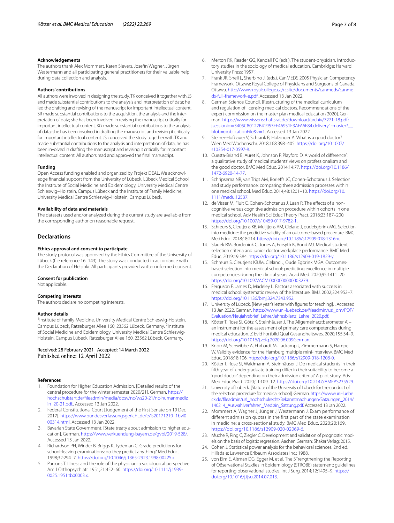#### **Acknowledgements**

The authors thank Alex Mommert, Karen Sievers, Josefn Wagner, Jürgen Westermann and all participating general practitioners for their valuable help during data collection and analysis.

#### **Authors' contributions**

All authors were involved in designing the study. TK conceived it together with JS and made substantial contributions to the analysis and interpretation of data; he led the drafting and revising of the manuscript for important intellectual content. SR made substantial contributions to the acquisition, the analysis and the interpretation of data; she has been involved in revising the manuscript critically for important intellectual content. KG made substantial contributions to the analysis of data; she has been involved in drafting the manuscript and revising it critically for important intellectual content. JS conceived the study together with TK and made substantial contributions to the analysis and interpretation of data; he has been involved in drafting the manuscript and revising it critically for important intellectual content. All authors read and approved the fnal manuscript.

#### **Funding**

Open Access funding enabled and organized by Projekt DEAL. We acknowledge fnancial support from the University of Lübeck, Lübeck Medical School, the Institute of Social Medicine and Epidemiology, University Medical Centre Schleswig–Holstein, Campus Lübeck and the Institute of Family Medicine, University Medical Centre Schleswig–Holstein, Campus Lübeck.

#### **Availability of data and materials**

The datasets used and/or analyzed during the current study are available from the corresponding author on reasonable request.

#### **Declarations**

#### **Ethics approval and consent to participate**

The study protocol was approved by the Ethics Committee of the University of Lübeck (fle reference 16–143). The study was conducted in accordance with the Declaration of Helsinki. All participants provided written informed consent.

#### **Consent for publication**

Not applicable.

#### **Competing interests**

The authors declare no competing interests.

#### **Author details**

<sup>1</sup> Institute of Family Medicine, University Medical Centre Schleswig-Holstein, Campus Lübeck, Ratzeburger Allee 160, 23562 Lübeck, Germany. <sup>2</sup>Institute of Social Medicine and Epidemiology, University Medical Centre Schleswig-Holstein, Campus Lübeck, Ratzeburger Allee 160, 23562 Lübeck, Germany.

#### Received: 28 February 2021 Accepted: 14 March 2022 Published online: 12 April 2022

#### **References**

- <span id="page-6-0"></span>1. Foundation for Higher Education Admission. [Detailed results of the central procedure for the winter semester 2020/21]. German. [https://](https://hochschulstart.de/fileadmin/media/dosv/nc/ws20-21/nc-humanmedizin_20-21.pdf.) [hochschulstart.de/fleadmin/media/dosv/nc/ws20-21/nc-humanmediz](https://hochschulstart.de/fileadmin/media/dosv/nc/ws20-21/nc-humanmedizin_20-21.pdf.) [in\\_20-21.pdf.](https://hochschulstart.de/fileadmin/media/dosv/nc/ws20-21/nc-humanmedizin_20-21.pdf.). Accessed 13 Jan 2022.
- <span id="page-6-1"></span>2. Federal Constitutional Court [Judgement of the First Senate on 19 Dec 2017]. [https://www.bundesverfassungsgericht.de/e/ls20171219\\_1bvl0](https://www.bundesverfassungsgericht.de/e/ls20171219_1bvl000314.html) [00314.html](https://www.bundesverfassungsgericht.de/e/ls20171219_1bvl000314.html). Accessed 13 Jan 2022.
- <span id="page-6-2"></span>3. Bavarian State Government. [State treaty about admission to higher education]. German.<https://www.verkuendung-bayern.de/gvbl/2019-528/>. Accessed 13 Jan 2022.
- <span id="page-6-3"></span>4. Richardson PH, Winder B, Briggs K, Tydeman C. Grade predictions for school-leaving examinations: do they predict anything? Med Educ. 1998;32:294–7. [https://doi.org/10.1046/j.1365-2923.1998.00225.x.](https://doi.org/10.1046/j.1365-2923.1998.00225.x)
- <span id="page-6-4"></span>5. Parsons T. Illness and the role of the physician: a sociological perspective. Am J Orthopsychiatr. 1951;21:452–60. [https://doi.org/10.1111/j.1939-](https://doi.org/10.1111/j.1939-0025.1951.tb00003.x) [0025.1951.tb00003.x.](https://doi.org/10.1111/j.1939-0025.1951.tb00003.x)
- <span id="page-6-5"></span>6. Merton RK, Reader GG, Kendall PC (eds.). The student-physician. Introductory studies in the sociology of medical education. Cambridge: Harvard University Press; 1957.
- <span id="page-6-6"></span>7. Frank JR, Snell L, Sherbino J. (eds.). CanMEDS 2005 Physician Competency Framework. Ottawa: Royal College of Physicians and Surgeons of Canada. Ottawa. [http://www.royalcollege.ca/rcsite/documents/canmeds/canme](http://www.royalcollege.ca/rcsite/documents/canmeds/canmeds-full-framework-e.pdf) [ds-full-framework-e.pdf.](http://www.royalcollege.ca/rcsite/documents/canmeds/canmeds-full-framework-e.pdf) Accessed 13 Jan 2022.
- <span id="page-6-7"></span>8. German Science Council. [Restructuring of the medical curriculum and regulation of licensing medical doctors. Recommendations of the expert commission on the master plan medical education 2020]. German. [https://www.wissenschaftsrat.de/download/archiv/7271-18.pdf;](https://www.wissenschaftsrat.de/download/archiv/7271-18.pdf;jsessionid=3405C80122B41953EF46931E3AFA6F84.delivery1-master?__blob=publicationFile&v=1) jsessionid=[3405C80122B41953EF46931E3AFA6F84.delivery1-master?\\_\\_](https://www.wissenschaftsrat.de/download/archiv/7271-18.pdf;jsessionid=3405C80122B41953EF46931E3AFA6F84.delivery1-master?__blob=publicationFile&v=1) blob=[publicationFile&v](https://www.wissenschaftsrat.de/download/archiv/7271-18.pdf;jsessionid=3405C80122B41953EF46931E3AFA6F84.delivery1-master?__blob=publicationFile&v=1)=1. Accessed 13 Jan 2022.
- <span id="page-6-8"></span>Steiner-Hofbauer V, Schrank B, Holzinger A. What is a good doctor? Wien Med Wochenschr. 2018;168:398–405. [https://doi.org/10.1007/](https://doi.org/10.1007/s10354-017-0597-8) [s10354-017-0597-8.](https://doi.org/10.1007/s10354-017-0597-8)
- <span id="page-6-9"></span>10. Cuesta-Briand B, Auret K, Johnson P, Playford D. A world of diference': a qualitative study of medical students' views on professionalism and the 'good doctor. BMC Med Educ. 2014;14:77. [https://doi.org/10.1186/](https://doi.org/10.1186/1472-6920-14-77) [1472-6920-14-77](https://doi.org/10.1186/1472-6920-14-77).
- <span id="page-6-10"></span>11. Schripsema NR, van Trigt AM, Borlefs JC, Cohen-Schotanus J. Selection and study performance: comparing three admission processes within one medical school. Med Educ. 2014;48:1201–10. [https://doi.org/10.](https://doi.org/10.1111/medu.12537) [1111/medu.12537](https://doi.org/10.1111/medu.12537).
- 12. de Visser M, Fluit C, Cohen-Schotanus J, Laan R. The effects of a noncognitive versus cognitive admission procedure within cohorts in one medical school. Adv Health Sci Educ Theory Pract. 2018;23:187–200. [https://doi.org/10.1007/s10459-017-9782-1.](https://doi.org/10.1007/s10459-017-9782-1)
- 13. Schreurs S, Cleutjens KB, Muijtjens AM, Cleland J, oudeEgbrink MG. Selection into medicine: the predictive validity of an outcome-based procedure. BMC Med Educ. 2018;18:214. [https://doi.org/10.1186/s12909-018-1316-x.](https://doi.org/10.1186/s12909-018-1316-x)
- <span id="page-6-12"></span>14. Sladek RM, Burdeniuk C, Jones A, Forsyth K, Bond MJ. Medical student selection criteria and junior doctor workplace performance. BMC Med Educ. 2019;19:384. <https://doi.org/10.1186/s12909-019-1829-y>.
- <span id="page-6-11"></span>15. Schreurs S, Cleutjens KBJM, Cleland J, Oude Egbrink MGA. Outcomesbased selection into medical school: predicting excellence in multiple competencies during the clinical years. Acad Med. 2020;95:1411–20. [https://doi.org/10.1097/ACM.0000000000003279.](https://doi.org/10.1097/ACM.0000000000003279)
- <span id="page-6-13"></span>16. Ferguson F, James D, Madeley L. Factors associated with success in medical school: systematic review of the literature. BMJ. 2002;324:952–7. [https://doi.org/10.1136/bmj.324.7343.952.](https://doi.org/10.1136/bmj.324.7343.952)
- <span id="page-6-14"></span>17. University of Lübeck. [New year's letter with fgures for teaching]. . Accessed 13 Jan 2022. German. [https://www.uni-luebeck.de/fleadmin/uzl\\_qm/PDF/](https://www.uni-luebeck.de/fileadmin/uzl_qm/PDF/Evaluation/Neujahrsbrief_Lehre/Jahresbilanz_Lehre_2020.pdf.) [Evaluation/Neujahrsbrief\\_Lehre/Jahresbilanz\\_Lehre\\_2020.pdf.](https://www.uni-luebeck.de/fileadmin/uzl_qm/PDF/Evaluation/Neujahrsbrief_Lehre/Jahresbilanz_Lehre_2020.pdf.)
- <span id="page-6-15"></span>18. Kötter T, Rose SI, Götz K, Steinhäuser J. The 'Allgemeinarztbarometer A' – an instrument for the assessment of primary care competencies during medical education. Z Evid Fortbild Qual Gesundheitswes. 2020;155:34–9. [https://doi.org/10.1016/j.zefq.2020.06.009German.](https://doi.org/10.1016/j.zefq.2020.06.009German)
- <span id="page-6-16"></span>19. Knorr M, Schwibbe A, Ehrhardt M, Lackamp J, Zimmermann S, Hampe W. Validity evidence for the Hamburg multiple mini-interview. BMC Med Educ. 2018;18:106. [https://doi.org/10.1186/s12909-018-1208-0.](https://doi.org/10.1186/s12909-018-1208-0)
- <span id="page-6-17"></span>20. Kötter T, Rose SI, Waldmann A, Steinhäuser J. Do medical students in their ffth year of undergraduate training difer in their suitability to become a 'good doctor' depending on their admission criteria? A pilot study. Adv Med Educ Pract. 2020;11:109–12. [https://doi.org/10.2147/AMEP.S235529.](https://doi.org/10.2147/AMEP.S235529)
- <span id="page-6-18"></span>21. University of Lübeck. [Statute of the University of Lübeck for the conduct of the selection procedure for medical school]. German. [https://www.uni-luebe](https://www.uni-luebeck.de/fileadmin/uzl_hochschulrecht/Bekanntmachungen/Satzungen_2014/140214_Auswahlverfahren_Medizin_Satzung.pdf) [ck.de/fleadmin/uzl\\_hochschulrecht/Bekanntmachungen/Satzungen\\_2014/](https://www.uni-luebeck.de/fileadmin/uzl_hochschulrecht/Bekanntmachungen/Satzungen_2014/140214_Auswahlverfahren_Medizin_Satzung.pdf) [140214\\_Auswahlverfahren\\_Medizin\\_Satzung.pdf](https://www.uni-luebeck.de/fileadmin/uzl_hochschulrecht/Bekanntmachungen/Satzungen_2014/140214_Auswahlverfahren_Medizin_Satzung.pdf). Accessed 13 Jan 2022.
- <span id="page-6-19"></span>22. Mommert A, Wagner J, Jünger J, Westermann J. Exam performance of different admission quotas in the first part of the state examination in medicine: a cross-sectional study. BMC Med Educ. 2020;20:169. [https://doi.org/10.1186/s12909-020-02069-6.](https://doi.org/10.1186/s12909-020-02069-6)
- <span id="page-6-20"></span>23. Muche R, Ring C, Ziegler C. Development and validation of prognostic models on the basis of logistic regression. Aachen German: Shaker Verlag; 2015.
- <span id="page-6-21"></span>24. Cohen J. Statistical power analysis for the behavioral sciences. 2nd ed. Hillsdale: Lawrence Erlbaum Associates Inc.; 1988.
- <span id="page-6-22"></span>25. von Elm E, Altman DG, Egger M, et al. The STrengthening the Reporting of OBservational Studies in Epidemiology (STROBE) statement: guidelines for reporting observational studies. Int J Surg. 2014;12:1495–9. [https://](https://doi.org/10.1016/j.ijsu.2014.07.013) [doi.org/10.1016/j.ijsu.2014.07.013.](https://doi.org/10.1016/j.ijsu.2014.07.013)